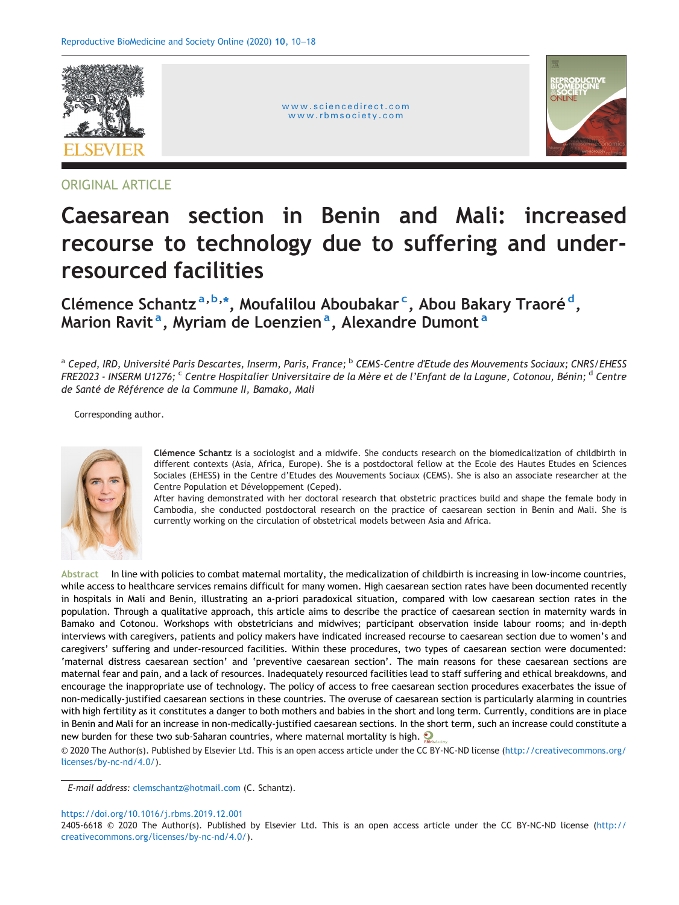

ORIGINAL ARTICLE

www.sciencedirect.com www.rbmsociety.com



# Caesarean section in Benin and Mali: increased recourse to technology due to suffering and underresourced facilities

Clémence Schantz<sup>a, b,</sup>\*, Moufalilou Aboubakar <sup>c</sup>, Abou Bakary Traoré <sup>d</sup>, Marion Ravit<sup>a</sup>, Myriam de Loenzien<sup>a</sup>, Alexandre Dumont<sup>a</sup>

<sup>a</sup> Ceped, IRD, Université Paris Descartes, Inserm, Paris, France; <sup>b</sup> CEMS-Centre d'Etude des Mouvements Sociaux; CNRS/EHESS FRE2023 - INSERM U1276; <sup>c</sup> Centre Hospitalier Universitaire de la Mère et de l'Enfant de la Lagune, Cotonou, Bénin; <sup>d</sup> Centre de Santé de Référence de la Commune II, Bamako, Mali

Corresponding author.



Clémence Schantz is a sociologist and a midwife. She conducts research on the biomedicalization of childbirth in different contexts (Asia, Africa, Europe). She is a postdoctoral fellow at the Ecole des Hautes Etudes en Sciences Sociales (EHESS) in the Centre d'Etudes des Mouvements Sociaux (CEMS). She is also an associate researcher at the Centre Population et Développement (Ceped).

After having demonstrated with her doctoral research that obstetric practices build and shape the female body in Cambodia, she conducted postdoctoral research on the practice of caesarean section in Benin and Mali. She is currently working on the circulation of obstetrical models between Asia and Africa.

Abstract In line with policies to combat maternal mortality, the medicalization of childbirth is increasing in low-income countries, while access to healthcare services remains difficult for many women. High caesarean section rates have been documented recently in hospitals in Mali and Benin, illustrating an a-priori paradoxical situation, compared with low caesarean section rates in the population. Through a qualitative approach, this article aims to describe the practice of caesarean section in maternity wards in Bamako and Cotonou. Workshops with obstetricians and midwives; participant observation inside labour rooms; and in-depth interviews with caregivers, patients and policy makers have indicated increased recourse to caesarean section due to women's and caregivers' suffering and under-resourced facilities. Within these procedures, two types of caesarean section were documented: 'maternal distress caesarean section' and 'preventive caesarean section'. The main reasons for these caesarean sections are maternal fear and pain, and a lack of resources. Inadequately resourced facilities lead to staff suffering and ethical breakdowns, and encourage the inappropriate use of technology. The policy of access to free caesarean section procedures exacerbates the issue of non-medically-justified caesarean sections in these countries. The overuse of caesarean section is particularly alarming in countries with high fertility as it constitutes a danger to both mothers and babies in the short and long term. Currently, conditions are in place in Benin and Mali for an increase in non-medically-justified caesarean sections. In the short term, such an increase could constitute a new burden for these two sub-Saharan countries, where maternal mortality is high.

© 2020 The Author(s). Published by Elsevier Ltd. This is an open access article under the CC BY-NC-ND license [\(http://creativecommons.org/](http://creativecommons.org/licenses/by-nc-nd/4.0/) [licenses/by-nc-nd/4.0/](http://creativecommons.org/licenses/by-nc-nd/4.0/)).

<https://doi.org/10.1016/j.rbms.2019.12.001>

E-mail address: <clemschantz@hotmail.com> (C. Schantz).

<sup>2405-6618 © 2020</sup> The Author(s). Published by Elsevier Ltd. This is an open access article under the CC BY-NC-ND license ([http://](http://creativecommons.org/licenses/by-nc-nd/4.0/) [creativecommons.org/licenses/by-nc-nd/4.0/\)](http://creativecommons.org/licenses/by-nc-nd/4.0/).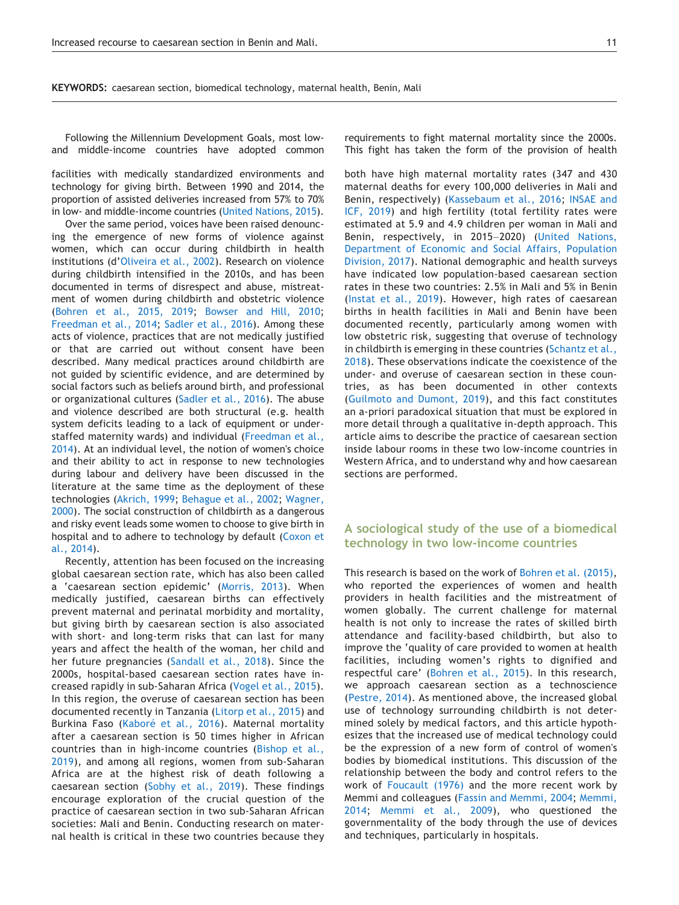Following the Millennium Development Goals, most lowand middle-income countries have adopted common

facilities with medically standardized environments and technology for giving birth. Between 1990 and 2014, the proportion of assisted deliveries increased from 57% to 70% in low- and middle-income countries [\(United Nations, 2015\)](#page-8-0).

Over the same period, voices have been raised denouncing the emergence of new forms of violence against women, which can occur during childbirth in health institutions (d'[Oliveira et al., 2002\)](#page-8-0). Research on violence during childbirth intensified in the 2010s, and has been documented in terms of disrespect and abuse, mistreatment of women during childbirth and obstetric violence ([Bohren et al., 2015, 2019;](#page-7-0) [Bowser and Hill, 2010](#page-7-0); [Freedman et al., 2014;](#page-7-0) [Sadler et al., 2016\)](#page-8-0). Among these acts of violence, practices that are not medically justified or that are carried out without consent have been described. Many medical practices around childbirth are not guided by scientific evidence, and are determined by social factors such as beliefs around birth, and professional or organizational cultures ([Sadler et al., 2016](#page-8-0)). The abuse and violence described are both structural (e.g. health system deficits leading to a lack of equipment or understaffed maternity wards) and individual ([Freedman et al.,](#page-7-0) [2014](#page-7-0)). At an individual level, the notion of women's choice and their ability to act in response to new technologies during labour and delivery have been discussed in the literature at the same time as the deployment of these technologies ([Akrich, 1999;](#page-7-0) [Behague et al., 2002;](#page-7-0) [Wagner,](#page-8-0) [2000](#page-8-0)). The social construction of childbirth as a dangerous and risky event leads some women to choose to give birth in hospital and to adhere to technology by default [\(Coxon et](#page-7-0) [al., 2014](#page-7-0)).

Recently, attention has been focused on the increasing global caesarean section rate, which has also been called a 'caesarean section epidemic' [\(Morris, 2013\)](#page-8-0). When medically justified, caesarean births can effectively prevent maternal and perinatal morbidity and mortality, but giving birth by caesarean section is also associated with short- and long-term risks that can last for many years and affect the health of the woman, her child and her future pregnancies ([Sandall et al., 2018](#page-8-0)). Since the 2000s, hospital-based caesarean section rates have increased rapidly in sub-Saharan Africa ([Vogel et al., 2015\)](#page-8-0). In this region, the overuse of caesarean section has been documented recently in Tanzania ([Litorp et al., 2015\)](#page-8-0) and Burkina Faso ([Kaboré et al., 2016](#page-8-0)). Maternal mortality after a caesarean section is 50 times higher in African countries than in high-income countries ([Bishop et al.,](#page-7-0) [2019\)](#page-7-0), and among all regions, women from sub-Saharan Africa are at the highest risk of death following a caesarean section ([Sobhy et al., 2019](#page-8-0)). These findings encourage exploration of the crucial question of the practice of caesarean section in two sub-Saharan African societies: Mali and Benin. Conducting research on maternal health is critical in these two countries because they requirements to fight maternal mortality since the 2000s. This fight has taken the form of the provision of health

both have high maternal mortality rates (347 and 430 maternal deaths for every 100,000 deliveries in Mali and Benin, respectively) ([Kassebaum et al., 2016;](#page-8-0) [INSAE and](#page-7-0) [ICF, 2019\)](#page-7-0) and high fertility (total fertility rates were estimated at 5.9 and 4.9 children per woman in Mali and Benin, respectively, in 2015–2020) ([United Nations,](#page-8-0) [Department of Economic and Social Affairs, Population](#page-8-0) [Division, 2017](#page-8-0)). National demographic and health surveys have indicated low population-based caesarean section rates in these two countries: 2.5% in Mali and 5% in Benin ([Instat et al., 2019](#page-7-0)). However, high rates of caesarean births in health facilities in Mali and Benin have been documented recently, particularly among women with low obstetric risk, suggesting that overuse of technology in childbirth is emerging in these countries ([Schantz et al.,](#page-8-0) [2018\)](#page-8-0). These observations indicate the coexistence of the under- and overuse of caesarean section in these countries, as has been documented in other contexts ([Guilmoto and Dumont, 2019\)](#page-7-0), and this fact constitutes an a-priori paradoxical situation that must be explored in more detail through a qualitative in-depth approach. This article aims to describe the practice of caesarean section inside labour rooms in these two low-income countries in Western Africa, and to understand why and how caesarean sections are performed.

## A sociological study of the use of a biomedical technology in two low-income countries

This research is based on the work of [Bohren et al. \(2015\)](#page-7-0), who reported the experiences of women and health providers in health facilities and the mistreatment of women globally. The current challenge for maternal health is not only to increase the rates of skilled birth attendance and facility-based childbirth, but also to improve the 'quality of care provided to women at health facilities, including women's rights to dignified and respectful care' ([Bohren et al., 2015](#page-7-0)). In this research, we approach caesarean section as a technoscience ([Pestre, 2014\)](#page-8-0). As mentioned above, the increased global use of technology surrounding childbirth is not determined solely by medical factors, and this article hypothesizes that the increased use of medical technology could be the expression of a new form of control of women's bodies by biomedical institutions. This discussion of the relationship between the body and control refers to the work of [Foucault \(1976\)](#page-7-0) and the more recent work by Memmi and colleagues ([Fassin and Memmi, 2004;](#page-7-0) [Memmi,](#page-8-0) [2014;](#page-8-0) [Memmi et al., 2009](#page-8-0)), who questioned the governmentality of the body through the use of devices and techniques, particularly in hospitals.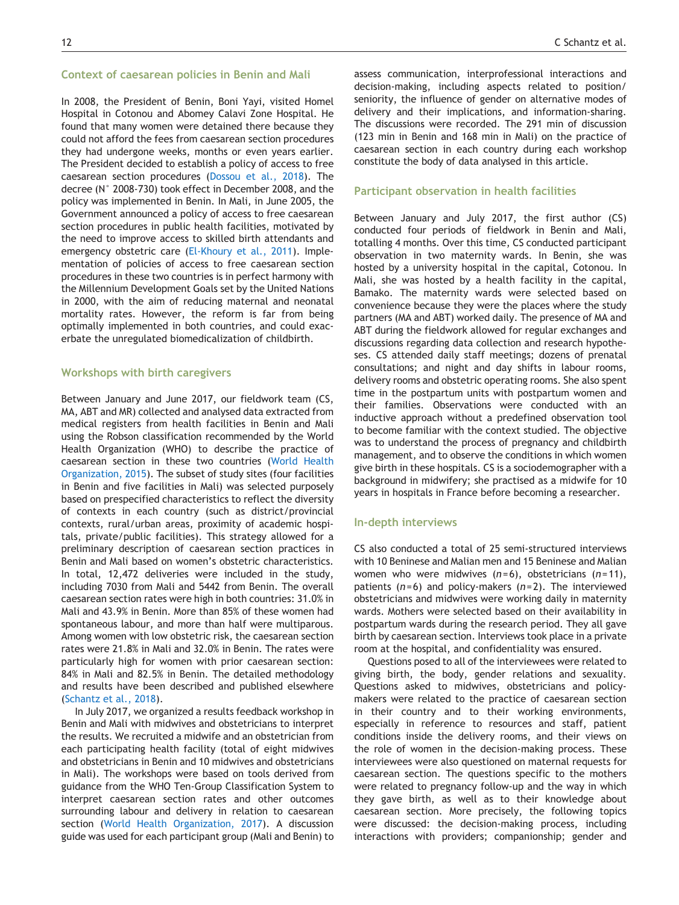#### Context of caesarean policies in Benin and Mali

In 2008, the President of Benin, Boni Yayi, visited Homel Hospital in Cotonou and Abomey Calavi Zone Hospital. He found that many women were detained there because they could not afford the fees from caesarean section procedures they had undergone weeks, months or even years earlier. The President decided to establish a policy of access to free caesarean section procedures [\(Dossou et al., 2018\)](#page-7-0). The decree (N° 2008-730) took effect in December 2008, and the policy was implemented in Benin. In Mali, in June 2005, the Government announced a policy of access to free caesarean section procedures in public health facilities, motivated by the need to improve access to skilled birth attendants and emergency obstetric care ([El-Khoury et al., 2011\)](#page-7-0). Implementation of policies of access to free caesarean section procedures in these two countries is in perfect harmony with the Millennium Development Goals set by the United Nations in 2000, with the aim of reducing maternal and neonatal mortality rates. However, the reform is far from being optimally implemented in both countries, and could exacerbate the unregulated biomedicalization of childbirth.

#### Workshops with birth caregivers

Between January and June 2017, our fieldwork team (CS, MA, ABT and MR) collected and analysed data extracted from medical registers from health facilities in Benin and Mali using the Robson classification recommended by the World Health Organization (WHO) to describe the practice of caesarean section in these two countries ([World Health](#page-8-0) [Organization, 2015\)](#page-8-0). The subset of study sites (four facilities in Benin and five facilities in Mali) was selected purposely based on prespecified characteristics to reflect the diversity of contexts in each country (such as district/provincial contexts, rural/urban areas, proximity of academic hospitals, private/public facilities). This strategy allowed for a preliminary description of caesarean section practices in Benin and Mali based on women's obstetric characteristics. In total, 12,472 deliveries were included in the study, including 7030 from Mali and 5442 from Benin. The overall caesarean section rates were high in both countries: 31.0% in Mali and 43.9% in Benin. More than 85% of these women had spontaneous labour, and more than half were multiparous. Among women with low obstetric risk, the caesarean section rates were 21.8% in Mali and 32.0% in Benin. The rates were particularly high for women with prior caesarean section: 84% in Mali and 82.5% in Benin. The detailed methodology and results have been described and published elsewhere [\(Schantz et al., 2018\)](#page-8-0).

In July 2017, we organized a results feedback workshop in Benin and Mali with midwives and obstetricians to interpret the results. We recruited a midwife and an obstetrician from each participating health facility (total of eight midwives and obstetricians in Benin and 10 midwives and obstetricians in Mali). The workshops were based on tools derived from guidance from the WHO Ten-Group Classification System to interpret caesarean section rates and other outcomes surrounding labour and delivery in relation to caesarean section [\(World Health Organization, 2017](#page-8-0)). A discussion guide was used for each participant group (Mali and Benin) to

assess communication, interprofessional interactions and decision-making, including aspects related to position/ seniority, the influence of gender on alternative modes of delivery and their implications, and information-sharing. The discussions were recorded. The 291 min of discussion (123 min in Benin and 168 min in Mali) on the practice of caesarean section in each country during each workshop constitute the body of data analysed in this article.

#### Participant observation in health facilities

Between January and July 2017, the first author (CS) conducted four periods of fieldwork in Benin and Mali, totalling 4 months. Over this time, CS conducted participant observation in two maternity wards. In Benin, she was hosted by a university hospital in the capital, Cotonou. In Mali, she was hosted by a health facility in the capital, Bamako. The maternity wards were selected based on convenience because they were the places where the study partners (MA and ABT) worked daily. The presence of MA and ABT during the fieldwork allowed for regular exchanges and discussions regarding data collection and research hypotheses. CS attended daily staff meetings; dozens of prenatal consultations; and night and day shifts in labour rooms, delivery rooms and obstetric operating rooms. She also spent time in the postpartum units with postpartum women and their families. Observations were conducted with an inductive approach without a predefined observation tool to become familiar with the context studied. The objective was to understand the process of pregnancy and childbirth management, and to observe the conditions in which women give birth in these hospitals. CS is a sociodemographer with a background in midwifery; she practised as a midwife for 10 years in hospitals in France before becoming a researcher.

#### In-depth interviews

CS also conducted a total of 25 semi-structured interviews with 10 Beninese and Malian men and 15 Beninese and Malian women who were midwives  $(n=6)$ , obstetricians  $(n=11)$ , patients ( $n=6$ ) and policy-makers ( $n=2$ ). The interviewed obstetricians and midwives were working daily in maternity wards. Mothers were selected based on their availability in postpartum wards during the research period. They all gave birth by caesarean section. Interviews took place in a private room at the hospital, and confidentiality was ensured.

Questions posed to all of the interviewees were related to giving birth, the body, gender relations and sexuality. Questions asked to midwives, obstetricians and policymakers were related to the practice of caesarean section in their country and to their working environments, especially in reference to resources and staff, patient conditions inside the delivery rooms, and their views on the role of women in the decision-making process. These interviewees were also questioned on maternal requests for caesarean section. The questions specific to the mothers were related to pregnancy follow-up and the way in which they gave birth, as well as to their knowledge about caesarean section. More precisely, the following topics were discussed: the decision-making process, including interactions with providers; companionship; gender and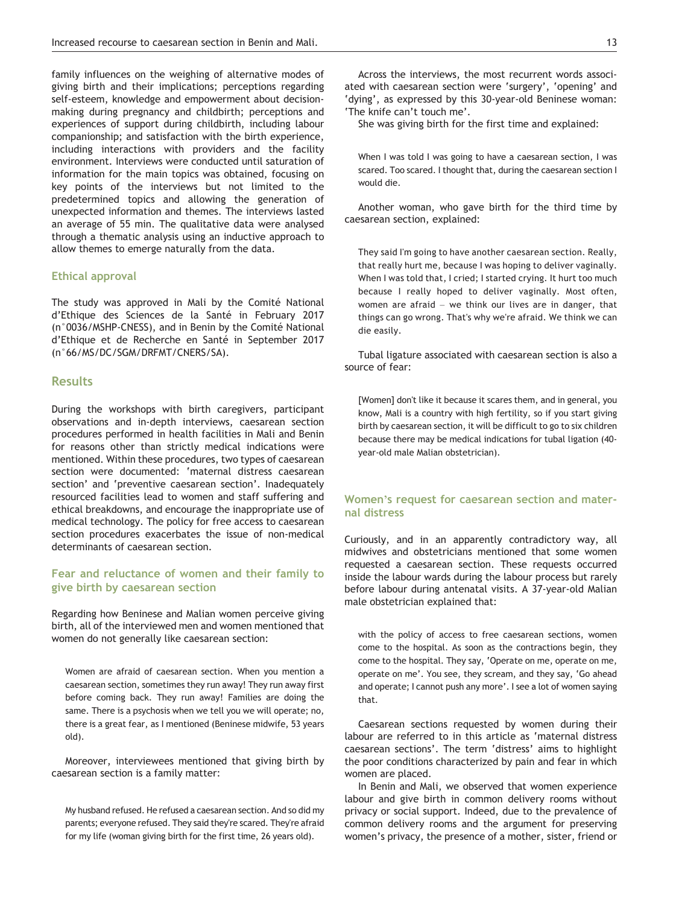family influences on the weighing of alternative modes of giving birth and their implications; perceptions regarding self-esteem, knowledge and empowerment about decisionmaking during pregnancy and childbirth; perceptions and experiences of support during childbirth, including labour companionship; and satisfaction with the birth experience, including interactions with providers and the facility environment. Interviews were conducted until saturation of information for the main topics was obtained, focusing on key points of the interviews but not limited to the predetermined topics and allowing the generation of unexpected information and themes. The interviews lasted an average of 55 min. The qualitative data were analysed through a thematic analysis using an inductive approach to allow themes to emerge naturally from the data.

#### Ethical approval

The study was approved in Mali by the Comité National d'Ethique des Sciences de la Santé in February 2017 (n°0036/MSHP-CNESS), and in Benin by the Comité National d'Ethique et de Recherche en Santé in September 2017 (n°66/MS/DC/SGM/DRFMT/CNERS/SA).

#### Results

During the workshops with birth caregivers, participant observations and in-depth interviews, caesarean section procedures performed in health facilities in Mali and Benin for reasons other than strictly medical indications were mentioned. Within these procedures, two types of caesarean section were documented: 'maternal distress caesarean section' and 'preventive caesarean section'. Inadequately resourced facilities lead to women and staff suffering and ethical breakdowns, and encourage the inappropriate use of medical technology. The policy for free access to caesarean section procedures exacerbates the issue of non-medical determinants of caesarean section.

## Fear and reluctance of women and their family to give birth by caesarean section

Regarding how Beninese and Malian women perceive giving birth, all of the interviewed men and women mentioned that women do not generally like caesarean section:

Women are afraid of caesarean section. When you mention a caesarean section, sometimes they run away! They run away first before coming back. They run away! Families are doing the same. There is a psychosis when we tell you we will operate; no, there is a great fear, as I mentioned (Beninese midwife, 53 years old).

Moreover, interviewees mentioned that giving birth by caesarean section is a family matter:

My husband refused. He refused a caesarean section. And so did my parents; everyone refused. They said they're scared. They're afraid for my life (woman giving birth for the first time, 26 years old).

Across the interviews, the most recurrent words associated with caesarean section were 'surgery', 'opening' and 'dying', as expressed by this 30-year-old Beninese woman: 'The knife can't touch me'.

She was giving birth for the first time and explained:

When I was told I was going to have a caesarean section, I was scared. Too scared. I thought that, during the caesarean section I would die.

Another woman, who gave birth for the third time by caesarean section, explained:

They said I'm going to have another caesarean section. Really, that really hurt me, because I was hoping to deliver vaginally. When I was told that, I cried; I started crying. It hurt too much because I really hoped to deliver vaginally. Most often, women are afraid – we think our lives are in danger, that things can go wrong. That's why we're afraid. We think we can die easily.

Tubal ligature associated with caesarean section is also a source of fear:

[Women] don't like it because it scares them, and in general, you know, Mali is a country with high fertility, so if you start giving birth by caesarean section, it will be difficult to go to six children because there may be medical indications for tubal ligation (40 year-old male Malian obstetrician).

## Women's request for caesarean section and maternal distress

Curiously, and in an apparently contradictory way, all midwives and obstetricians mentioned that some women requested a caesarean section. These requests occurred inside the labour wards during the labour process but rarely before labour during antenatal visits. A 37-year-old Malian male obstetrician explained that:

with the policy of access to free caesarean sections, women come to the hospital. As soon as the contractions begin, they come to the hospital. They say, 'Operate on me, operate on me, operate on me'. You see, they scream, and they say, 'Go ahead and operate; I cannot push any more'. I see a lot of women saying that.

Caesarean sections requested by women during their labour are referred to in this article as 'maternal distress caesarean sections'. The term 'distress' aims to highlight the poor conditions characterized by pain and fear in which women are placed.

In Benin and Mali, we observed that women experience labour and give birth in common delivery rooms without privacy or social support. Indeed, due to the prevalence of common delivery rooms and the argument for preserving women's privacy, the presence of a mother, sister, friend or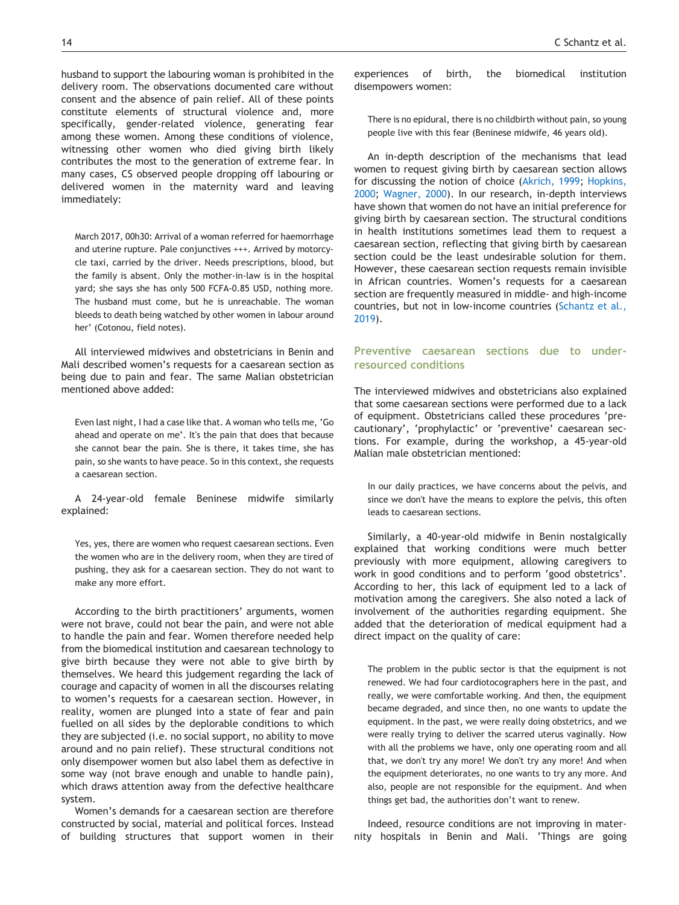husband to support the labouring woman is prohibited in the delivery room. The observations documented care without consent and the absence of pain relief. All of these points constitute elements of structural violence and, more specifically, gender-related violence, generating fear among these women. Among these conditions of violence, witnessing other women who died giving birth likely contributes the most to the generation of extreme fear. In many cases, CS observed people dropping off labouring or delivered women in the maternity ward and leaving immediately:

March 2017, 00h30: Arrival of a woman referred for haemorrhage and uterine rupture. Pale conjunctives +++. Arrived by motorcycle taxi, carried by the driver. Needs prescriptions, blood, but the family is absent. Only the mother-in-law is in the hospital yard; she says she has only 500 FCFA-0.85 USD, nothing more. The husband must come, but he is unreachable. The woman bleeds to death being watched by other women in labour around her' (Cotonou, field notes).

All interviewed midwives and obstetricians in Benin and Mali described women's requests for a caesarean section as being due to pain and fear. The same Malian obstetrician mentioned above added:

Even last night, I had a case like that. A woman who tells me, 'Go ahead and operate on me'. It's the pain that does that because she cannot bear the pain. She is there, it takes time, she has pain, so she wants to have peace. So in this context, she requests a caesarean section.

A 24-year-old female Beninese midwife similarly explained:

Yes, yes, there are women who request caesarean sections. Even the women who are in the delivery room, when they are tired of pushing, they ask for a caesarean section. They do not want to make any more effort.

According to the birth practitioners' arguments, women were not brave, could not bear the pain, and were not able to handle the pain and fear. Women therefore needed help from the biomedical institution and caesarean technology to give birth because they were not able to give birth by themselves. We heard this judgement regarding the lack of courage and capacity of women in all the discourses relating to women's requests for a caesarean section. However, in reality, women are plunged into a state of fear and pain fuelled on all sides by the deplorable conditions to which they are subjected (i.e. no social support, no ability to move around and no pain relief). These structural conditions not only disempower women but also label them as defective in some way (not brave enough and unable to handle pain), which draws attention away from the defective healthcare system.

Women's demands for a caesarean section are therefore constructed by social, material and political forces. Instead of building structures that support women in their experiences of birth, the biomedical institution disempowers women:

There is no epidural, there is no childbirth without pain, so young people live with this fear (Beninese midwife, 46 years old).

An in-depth description of the mechanisms that lead women to request giving birth by caesarean section allows for discussing the notion of choice [\(Akrich, 1999;](#page-7-0) [Hopkins,](#page-7-0) [2000](#page-7-0); [Wagner, 2000](#page-8-0)). In our research, in-depth interviews have shown that women do not have an initial preference for giving birth by caesarean section. The structural conditions in health institutions sometimes lead them to request a caesarean section, reflecting that giving birth by caesarean section could be the least undesirable solution for them. However, these caesarean section requests remain invisible in African countries. Women's requests for a caesarean section are frequently measured in middle- and high-income countries, but not in low-income countries [\(Schantz et al.,](#page-8-0) [2019](#page-8-0)).

#### Preventive caesarean sections due to underresourced conditions

The interviewed midwives and obstetricians also explained that some caesarean sections were performed due to a lack of equipment. Obstetricians called these procedures 'precautionary', 'prophylactic' or 'preventive' caesarean sections. For example, during the workshop, a 45-year-old Malian male obstetrician mentioned:

In our daily practices, we have concerns about the pelvis, and since we don't have the means to explore the pelvis, this often leads to caesarean sections.

Similarly, a 40-year-old midwife in Benin nostalgically explained that working conditions were much better previously with more equipment, allowing caregivers to work in good conditions and to perform 'good obstetrics'. According to her, this lack of equipment led to a lack of motivation among the caregivers. She also noted a lack of involvement of the authorities regarding equipment. She added that the deterioration of medical equipment had a direct impact on the quality of care:

The problem in the public sector is that the equipment is not renewed. We had four cardiotocographers here in the past, and really, we were comfortable working. And then, the equipment became degraded, and since then, no one wants to update the equipment. In the past, we were really doing obstetrics, and we were really trying to deliver the scarred uterus vaginally. Now with all the problems we have, only one operating room and all that, we don't try any more! We don't try any more! And when the equipment deteriorates, no one wants to try any more. And also, people are not responsible for the equipment. And when things get bad, the authorities don't want to renew.

Indeed, resource conditions are not improving in maternity hospitals in Benin and Mali. 'Things are going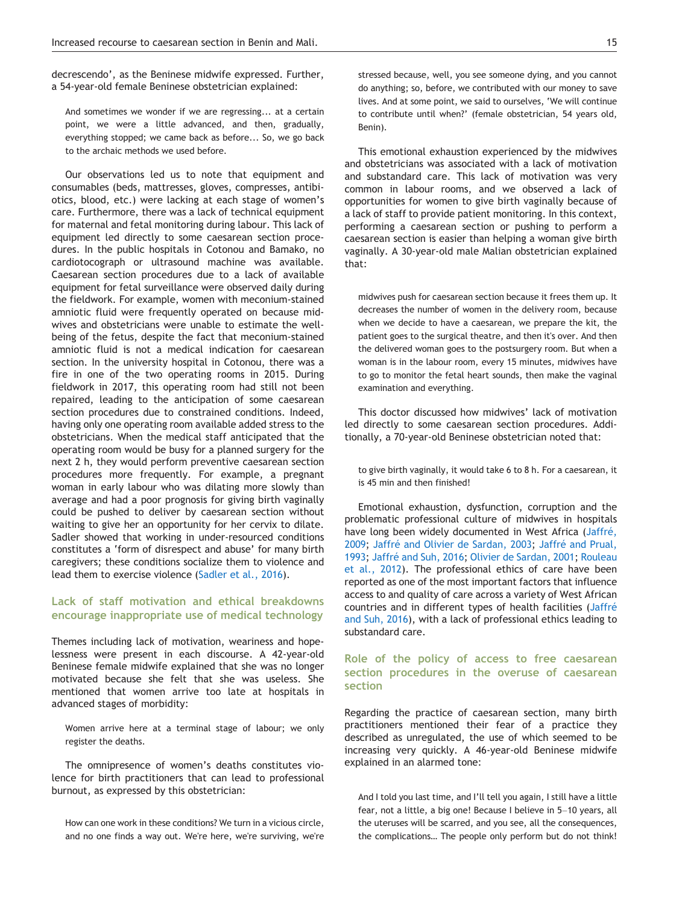decrescendo', as the Beninese midwife expressed. Further, a 54-year-old female Beninese obstetrician explained:

And sometimes we wonder if we are regressing... at a certain point, we were a little advanced, and then, gradually, everything stopped; we came back as before... So, we go back to the archaic methods we used before.

Our observations led us to note that equipment and consumables (beds, mattresses, gloves, compresses, antibiotics, blood, etc.) were lacking at each stage of women's care. Furthermore, there was a lack of technical equipment for maternal and fetal monitoring during labour. This lack of equipment led directly to some caesarean section procedures. In the public hospitals in Cotonou and Bamako, no cardiotocograph or ultrasound machine was available. Caesarean section procedures due to a lack of available equipment for fetal surveillance were observed daily during the fieldwork. For example, women with meconium-stained amniotic fluid were frequently operated on because midwives and obstetricians were unable to estimate the wellbeing of the fetus, despite the fact that meconium-stained amniotic fluid is not a medical indication for caesarean section. In the university hospital in Cotonou, there was a fire in one of the two operating rooms in 2015. During fieldwork in 2017, this operating room had still not been repaired, leading to the anticipation of some caesarean section procedures due to constrained conditions. Indeed, having only one operating room available added stress to the obstetricians. When the medical staff anticipated that the operating room would be busy for a planned surgery for the next 2 h, they would perform preventive caesarean section procedures more frequently. For example, a pregnant woman in early labour who was dilating more slowly than average and had a poor prognosis for giving birth vaginally could be pushed to deliver by caesarean section without waiting to give her an opportunity for her cervix to dilate. Sadler showed that working in under-resourced conditions constitutes a 'form of disrespect and abuse' for many birth caregivers; these conditions socialize them to violence and lead them to exercise violence [\(Sadler et al., 2016](#page-8-0)).

#### Lack of staff motivation and ethical breakdowns encourage inappropriate use of medical technology

Themes including lack of motivation, weariness and hopelessness were present in each discourse. A 42-year-old Beninese female midwife explained that she was no longer motivated because she felt that she was useless. She mentioned that women arrive too late at hospitals in advanced stages of morbidity:

Women arrive here at a terminal stage of labour; we only register the deaths.

The omnipresence of women's deaths constitutes violence for birth practitioners that can lead to professional burnout, as expressed by this obstetrician:

How can one work in these conditions? We turn in a vicious circle, and no one finds a way out. We're here, we're surviving, we're stressed because, well, you see someone dying, and you cannot do anything; so, before, we contributed with our money to save lives. And at some point, we said to ourselves, 'We will continue to contribute until when?' (female obstetrician, 54 years old, Benin).

This emotional exhaustion experienced by the midwives and obstetricians was associated with a lack of motivation and substandard care. This lack of motivation was very common in labour rooms, and we observed a lack of opportunities for women to give birth vaginally because of a lack of staff to provide patient monitoring. In this context, performing a caesarean section or pushing to perform a caesarean section is easier than helping a woman give birth vaginally. A 30-year-old male Malian obstetrician explained that:

midwives push for caesarean section because it frees them up. It decreases the number of women in the delivery room, because when we decide to have a caesarean, we prepare the kit, the patient goes to the surgical theatre, and then it's over. And then the delivered woman goes to the postsurgery room. But when a woman is in the labour room, every 15 minutes, midwives have to go to monitor the fetal heart sounds, then make the vaginal examination and everything.

This doctor discussed how midwives' lack of motivation led directly to some caesarean section procedures. Additionally, a 70-year-old Beninese obstetrician noted that:

to give birth vaginally, it would take 6 to 8 h. For a caesarean, it is 45 min and then finished!

Emotional exhaustion, dysfunction, corruption and the problematic professional culture of midwives in hospitals have long been widely documented in West Africa [\(Jaffré,](#page-7-0) [2009](#page-7-0); [Jaffré and Olivier de Sardan, 2003;](#page-7-0) [Jaffré and Prual,](#page-7-0) [1993](#page-7-0); [Jaffré and Suh, 2016](#page-8-0); [Olivier de Sardan, 2001](#page-8-0); [Rouleau](#page-8-0) [et al., 2012\)](#page-8-0). The professional ethics of care have been reported as one of the most important factors that influence access to and quality of care across a variety of West African countries and in different types of health facilities ([Jaffré](#page-8-0) [and Suh, 2016](#page-8-0)), with a lack of professional ethics leading to substandard care.

## Role of the policy of access to free caesarean section procedures in the overuse of caesarean section

Regarding the practice of caesarean section, many birth practitioners mentioned their fear of a practice they described as unregulated, the use of which seemed to be increasing very quickly. A 46-year-old Beninese midwife explained in an alarmed tone:

And I told you last time, and I'll tell you again, I still have a little fear, not a little, a big one! Because I believe in 5–10 years, all the uteruses will be scarred, and you see, all the consequences, the complications… The people only perform but do not think!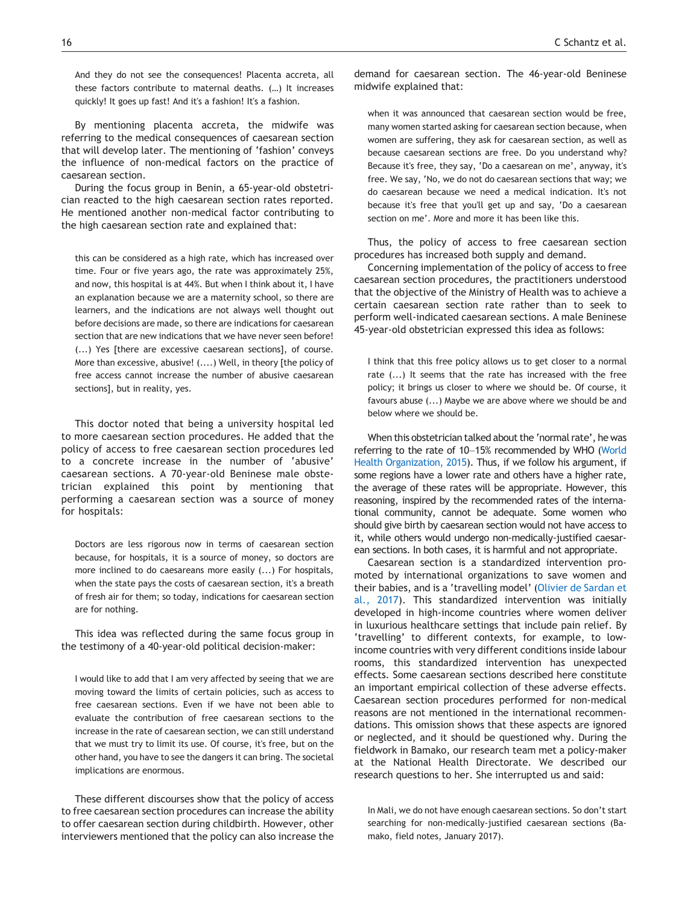And they do not see the consequences! Placenta accreta, all these factors contribute to maternal deaths. (…) It increases quickly! It goes up fast! And it's a fashion! It's a fashion.

By mentioning placenta accreta, the midwife was referring to the medical consequences of caesarean section that will develop later. The mentioning of 'fashion' conveys the influence of non-medical factors on the practice of caesarean section.

During the focus group in Benin, a 65-year-old obstetrician reacted to the high caesarean section rates reported. He mentioned another non-medical factor contributing to the high caesarean section rate and explained that:

this can be considered as a high rate, which has increased over time. Four or five years ago, the rate was approximately 25%, and now, this hospital is at 44%. But when I think about it, I have an explanation because we are a maternity school, so there are learners, and the indications are not always well thought out before decisions are made, so there are indications for caesarean section that are new indications that we have never seen before! (...) Yes [there are excessive caesarean sections], of course. More than excessive, abusive! (....) Well, in theory [the policy of free access cannot increase the number of abusive caesarean sections], but in reality, yes.

This doctor noted that being a university hospital led to more caesarean section procedures. He added that the policy of access to free caesarean section procedures led to a concrete increase in the number of 'abusive' caesarean sections. A 70-year-old Beninese male obstetrician explained this point by mentioning that performing a caesarean section was a source of money for hospitals:

Doctors are less rigorous now in terms of caesarean section because, for hospitals, it is a source of money, so doctors are more inclined to do caesareans more easily (...) For hospitals, when the state pays the costs of caesarean section, it's a breath of fresh air for them; so today, indications for caesarean section are for nothing.

This idea was reflected during the same focus group in the testimony of a 40-year-old political decision-maker:

I would like to add that I am very affected by seeing that we are moving toward the limits of certain policies, such as access to free caesarean sections. Even if we have not been able to evaluate the contribution of free caesarean sections to the increase in the rate of caesarean section, we can still understand that we must try to limit its use. Of course, it's free, but on the other hand, you have to see the dangers it can bring. The societal implications are enormous.

These different discourses show that the policy of access to free caesarean section procedures can increase the ability to offer caesarean section during childbirth. However, other interviewers mentioned that the policy can also increase the demand for caesarean section. The 46-year-old Beninese midwife explained that:

when it was announced that caesarean section would be free, many women started asking for caesarean section because, when women are suffering, they ask for caesarean section, as well as because caesarean sections are free. Do you understand why? Because it's free, they say, 'Do a caesarean on me', anyway, it's free. We say, 'No, we do not do caesarean sections that way; we do caesarean because we need a medical indication. It's not because it's free that you'll get up and say, 'Do a caesarean section on me'. More and more it has been like this.

Thus, the policy of access to free caesarean section procedures has increased both supply and demand.

Concerning implementation of the policy of access to free caesarean section procedures, the practitioners understood that the objective of the Ministry of Health was to achieve a certain caesarean section rate rather than to seek to perform well-indicated caesarean sections. A male Beninese 45-year-old obstetrician expressed this idea as follows:

I think that this free policy allows us to get closer to a normal rate (...) It seems that the rate has increased with the free policy; it brings us closer to where we should be. Of course, it favours abuse (...) Maybe we are above where we should be and below where we should be.

When this obstetrician talked about the 'normal rate', he was referring to the rate of 10–15% recommended by WHO ([World](#page-8-0) [Health Organization, 2015](#page-8-0)). Thus, if we follow his argument, if some regions have a lower rate and others have a higher rate, the average of these rates will be appropriate. However, this reasoning, inspired by the recommended rates of the international community, cannot be adequate. Some women who should give birth by caesarean section would not have access to it, while others would undergo non-medically-justified caesarean sections. In both cases, it is harmful and not appropriate.

Caesarean section is a standardized intervention promoted by international organizations to save women and their babies, and is a 'travelling model' ([Olivier de Sardan et](#page-8-0) [al., 2017\)](#page-8-0). This standardized intervention was initially developed in high-income countries where women deliver in luxurious healthcare settings that include pain relief. By 'travelling' to different contexts, for example, to lowincome countries with very different conditions inside labour rooms, this standardized intervention has unexpected effects. Some caesarean sections described here constitute an important empirical collection of these adverse effects. Caesarean section procedures performed for non-medical reasons are not mentioned in the international recommendations. This omission shows that these aspects are ignored or neglected, and it should be questioned why. During the fieldwork in Bamako, our research team met a policy-maker at the National Health Directorate. We described our research questions to her. She interrupted us and said:

In Mali, we do not have enough caesarean sections. So don't start searching for non-medically-justified caesarean sections (Bamako, field notes, January 2017).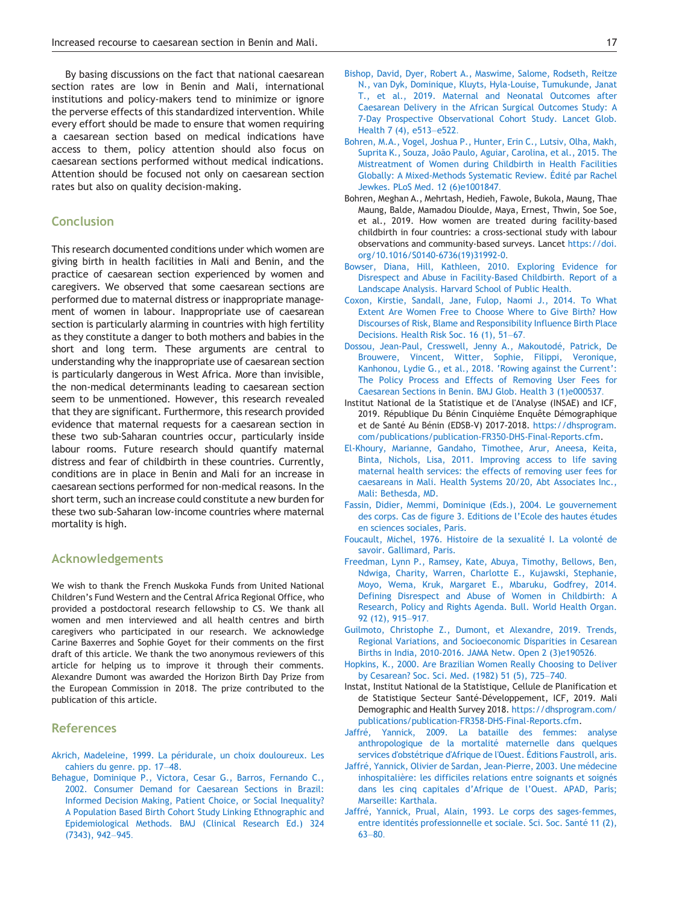<span id="page-7-0"></span>By basing discussions on the fact that national caesarean section rates are low in Benin and Mali, international institutions and policy-makers tend to minimize or ignore the perverse effects of this standardized intervention. While every effort should be made to ensure that women requiring a caesarean section based on medical indications have access to them, policy attention should also focus on caesarean sections performed without medical indications. Attention should be focused not only on caesarean section rates but also on quality decision-making.

## Conclusion

This research documented conditions under which women are giving birth in health facilities in Mali and Benin, and the practice of caesarean section experienced by women and caregivers. We observed that some caesarean sections are performed due to maternal distress or inappropriate management of women in labour. Inappropriate use of caesarean section is particularly alarming in countries with high fertility as they constitute a danger to both mothers and babies in the short and long term. These arguments are central to understanding why the inappropriate use of caesarean section is particularly dangerous in West Africa. More than invisible, the non-medical determinants leading to caesarean section seem to be unmentioned. However, this research revealed that they are significant. Furthermore, this research provided evidence that maternal requests for a caesarean section in these two sub-Saharan countries occur, particularly inside labour rooms. Future research should quantify maternal distress and fear of childbirth in these countries. Currently, conditions are in place in Benin and Mali for an increase in caesarean sections performed for non-medical reasons. In the short term, such an increase could constitute a new burden for these two sub-Saharan low-income countries where maternal mortality is high.

## Acknowledgements

We wish to thank the French Muskoka Funds from United National Children's Fund Western and the Central Africa Regional Office, who provided a postdoctoral research fellowship to CS. We thank all women and men interviewed and all health centres and birth caregivers who participated in our research. We acknowledge Carine Baxerres and Sophie Goyet for their comments on the first draft of this article. We thank the two anonymous reviewers of this article for helping us to improve it through their comments. Alexandre Dumont was awarded the Horizon Birth Day Prize from the European Commission in 2018. The prize contributed to the publication of this article.

## References

- [Akrich, Madeleine, 1999. La péridurale, un choix douloureux. Les](http://refhub.elsevier.com/S2405-6618(20)30001-0/rf0005) [cahiers du genre. pp. 17](http://refhub.elsevier.com/S2405-6618(20)30001-0/rf0005)–48.
- [Behague, Dominique P., Victora, Cesar G., Barros, Fernando C.,](http://refhub.elsevier.com/S2405-6618(20)30001-0/rf0010) [2002. Consumer Demand for Caesarean Sections in Brazil:](http://refhub.elsevier.com/S2405-6618(20)30001-0/rf0010) [Informed Decision Making, Patient Choice, or Social Inequality?](http://refhub.elsevier.com/S2405-6618(20)30001-0/rf0010) [A Population Based Birth Cohort Study Linking Ethnographic and](http://refhub.elsevier.com/S2405-6618(20)30001-0/rf0010) [Epidemiological Methods. BMJ \(Clinical Research Ed.\) 324](http://refhub.elsevier.com/S2405-6618(20)30001-0/rf0010) [\(7343\), 942](http://refhub.elsevier.com/S2405-6618(20)30001-0/rf0010)–945.
- [Bishop, David, Dyer, Robert A., Maswime, Salome, Rodseth, Reitze](http://refhub.elsevier.com/S2405-6618(20)30001-0/rf0015) [N., van Dyk, Dominique, Kluyts, Hyla-Louise, Tumukunde, Janat](http://refhub.elsevier.com/S2405-6618(20)30001-0/rf0015) [T., et al., 2019. Maternal and Neonatal Outcomes after](http://refhub.elsevier.com/S2405-6618(20)30001-0/rf0015) [Caesarean Delivery in the African Surgical Outcomes Study: A](http://refhub.elsevier.com/S2405-6618(20)30001-0/rf0015) [7-Day Prospective Observational Cohort Study. Lancet Glob.](http://refhub.elsevier.com/S2405-6618(20)30001-0/rf0015) [Health 7 \(4\), e513](http://refhub.elsevier.com/S2405-6618(20)30001-0/rf0015)–e522.
- [Bohren, M.A., Vogel, Joshua P., Hunter, Erin C., Lutsiv, Olha, Makh,](http://refhub.elsevier.com/S2405-6618(20)30001-0/rf0020) [Suprita K., Souza, João Paulo, Aguiar, Carolina, et al., 2015. The](http://refhub.elsevier.com/S2405-6618(20)30001-0/rf0020) [Mistreatment of Women during Childbirth in Health Facilities](http://refhub.elsevier.com/S2405-6618(20)30001-0/rf0020) [Globally: A Mixed-Methods Systematic Review. Édité par Rachel](http://refhub.elsevier.com/S2405-6618(20)30001-0/rf0020) [Jewkes. PLoS Med. 12 \(6\)e1001847.](http://refhub.elsevier.com/S2405-6618(20)30001-0/rf0020)
- Bohren, Meghan A., Mehrtash, Hedieh, Fawole, Bukola, Maung, Thae Maung, Balde, Mamadou Dioulde, Maya, Ernest, Thwin, Soe Soe, et al., 2019. How women are treated during facility-based childbirth in four countries: a cross-sectional study with labour observations and community-based surveys. Lancet [https://doi.](https://doi.org/10.1016/S0140-6736(19)31992-0) [org/10.1016/S0140-6736\(19\)31992-0.](https://doi.org/10.1016/S0140-6736(19)31992-0)
- [Bowser, Diana, Hill, Kathleen, 2010. Exploring Evidence for](http://refhub.elsevier.com/S2405-6618(20)30001-0/rf0030) [Disrespect and Abuse in Facility-Based Childbirth. Report of a](http://refhub.elsevier.com/S2405-6618(20)30001-0/rf0030) [Landscape Analysis. Harvard School of Public Health](http://refhub.elsevier.com/S2405-6618(20)30001-0/rf0030).
- [Coxon, Kirstie, Sandall, Jane, Fulop, Naomi J., 2014. To What](http://refhub.elsevier.com/S2405-6618(20)30001-0/rf0035) [Extent Are Women Free to Choose Where to Give Birth? How](http://refhub.elsevier.com/S2405-6618(20)30001-0/rf0035) [Discourses of Risk, Blame and Responsibility Influence Birth Place](http://refhub.elsevier.com/S2405-6618(20)30001-0/rf0035) [Decisions. Health Risk Soc. 16 \(1\), 51](http://refhub.elsevier.com/S2405-6618(20)30001-0/rf0035)–67.
- [Dossou, Jean-Paul, Cresswell, Jenny A., Makoutodé, Patrick, De](http://refhub.elsevier.com/S2405-6618(20)30001-0/rf0040) [Brouwere, Vincent, Witter, Sophie, Filippi, Veronique,](http://refhub.elsevier.com/S2405-6618(20)30001-0/rf0040) [Kanhonou, Lydie G., et al., 2018.](http://refhub.elsevier.com/S2405-6618(20)30001-0/rf0040) 'Rowing against the Current': [The Policy Process and Effects of Removing User Fees for](http://refhub.elsevier.com/S2405-6618(20)30001-0/rf0040) [Caesarean Sections in Benin. BMJ Glob. Health 3 \(1\)e000537.](http://refhub.elsevier.com/S2405-6618(20)30001-0/rf0040)
- Institut National de la Statistique et de l'Analyse (INSAE) and ICF, 2019. République Du Bénin Cinquième Enquête Démographique et de Santé Au Bénin (EDSB-V) 2017-2018. [https://dhsprogram.](https://dhsprogram.com/publications/publication-FR350-DHS-Final-Reports.cfm) [com/publications/publication-FR350-DHS-Final-Reports.cfm.](https://dhsprogram.com/publications/publication-FR350-DHS-Final-Reports.cfm)
- [El-Khoury, Marianne, Gandaho, Timothee, Arur, Aneesa, Keita,](http://refhub.elsevier.com/S2405-6618(20)30001-0/rf0050) [Binta, Nichols, Lisa, 2011. Improving access to life saving](http://refhub.elsevier.com/S2405-6618(20)30001-0/rf0050) [maternal health services: the effects of removing user fees for](http://refhub.elsevier.com/S2405-6618(20)30001-0/rf0050) [caesareans in Mali. Health Systems 20/20, Abt Associates Inc.,](http://refhub.elsevier.com/S2405-6618(20)30001-0/rf0050) [Mali: Bethesda, MD](http://refhub.elsevier.com/S2405-6618(20)30001-0/rf0050).
- [Fassin, Didier, Memmi, Dominique \(Eds.\), 2004. Le gouvernement](http://refhub.elsevier.com/S2405-6618(20)30001-0/rf0055) [des corps. Cas de figure 3. Editions de l](http://refhub.elsevier.com/S2405-6618(20)30001-0/rf0055)'Ecole des hautes études [en sciences sociales, Paris.](http://refhub.elsevier.com/S2405-6618(20)30001-0/rf0055)
- [Foucault, Michel, 1976. Histoire de la sexualité I. La volonté de](http://refhub.elsevier.com/S2405-6618(20)30001-0/rf0060) [savoir. Gallimard, Paris](http://refhub.elsevier.com/S2405-6618(20)30001-0/rf0060).
- [Freedman, Lynn P., Ramsey, Kate, Abuya, Timothy, Bellows, Ben,](http://refhub.elsevier.com/S2405-6618(20)30001-0/rf0065) [Ndwiga, Charity, Warren, Charlotte E., Kujawski, Stephanie,](http://refhub.elsevier.com/S2405-6618(20)30001-0/rf0065) [Moyo, Wema, Kruk, Margaret E., Mbaruku, Godfrey, 2014.](http://refhub.elsevier.com/S2405-6618(20)30001-0/rf0065) [Defining Disrespect and Abuse of Women in Childbirth: A](http://refhub.elsevier.com/S2405-6618(20)30001-0/rf0065) [Research, Policy and Rights Agenda. Bull. World Health Organ.](http://refhub.elsevier.com/S2405-6618(20)30001-0/rf0065) [92 \(12\), 915](http://refhub.elsevier.com/S2405-6618(20)30001-0/rf0065)–917.
- [Guilmoto, Christophe Z., Dumont, et Alexandre, 2019. Trends,](http://refhub.elsevier.com/S2405-6618(20)30001-0/rf0070) [Regional Variations, and Socioeconomic Disparities in Cesarean](http://refhub.elsevier.com/S2405-6618(20)30001-0/rf0070) [Births in India, 2010-2016. JAMA Netw. Open 2 \(3\)e190526](http://refhub.elsevier.com/S2405-6618(20)30001-0/rf0070).
- [Hopkins, K., 2000. Are Brazilian Women Really Choosing to Deliver](http://refhub.elsevier.com/S2405-6618(20)30001-0/rf0075) [by Cesarean? Soc. Sci. Med. \(1982\) 51 \(5\), 725](http://refhub.elsevier.com/S2405-6618(20)30001-0/rf0075)–740.
- Instat, Institut National de la Statistique, Cellule de Planification et de Statistique Secteur Santé-Développement, ICF, 2019. Mali Demographic and Health Survey 2018. [https://dhsprogram.com/](https://dhsprogram.com/publications/publication-FR358-DHS-Final-Reports.cfm) [publications/publication-FR358-DHS-Final-Reports.cfm.](https://dhsprogram.com/publications/publication-FR358-DHS-Final-Reports.cfm)
- [Jaffré, Yannick, 2009. La bataille des femmes: analyse](http://refhub.elsevier.com/S2405-6618(20)30001-0/rfrf0085) [anthropologique de la mortalité maternelle dans quelques](http://refhub.elsevier.com/S2405-6618(20)30001-0/rfrf0085) [services d'obstétrique d'Afrique de l'Ouest. Éditions Faustroll, aris.](http://refhub.elsevier.com/S2405-6618(20)30001-0/rfrf0085)
- [Jaffré, Yannick, Olivier de Sardan, Jean-Pierre, 2003. Une médecine](http://refhub.elsevier.com/S2405-6618(20)30001-0/rf0090) [inhospitalière: les difficiles relations entre soignants et soignés](http://refhub.elsevier.com/S2405-6618(20)30001-0/rf0090) [dans les cinq capitales d](http://refhub.elsevier.com/S2405-6618(20)30001-0/rf0090)'Afrique de l'Ouest. APAD, Paris; [Marseille: Karthala](http://refhub.elsevier.com/S2405-6618(20)30001-0/rf0090).
- [Jaffré, Yannick, Prual, Alain, 1993. Le corps des sages-femmes,](http://refhub.elsevier.com/S2405-6618(20)30001-0/rf0095) [entre identités professionnelle et sociale. Sci. Soc. Santé 11 \(2\),](http://refhub.elsevier.com/S2405-6618(20)30001-0/rf0095) 63–[80.](http://refhub.elsevier.com/S2405-6618(20)30001-0/rf0095)